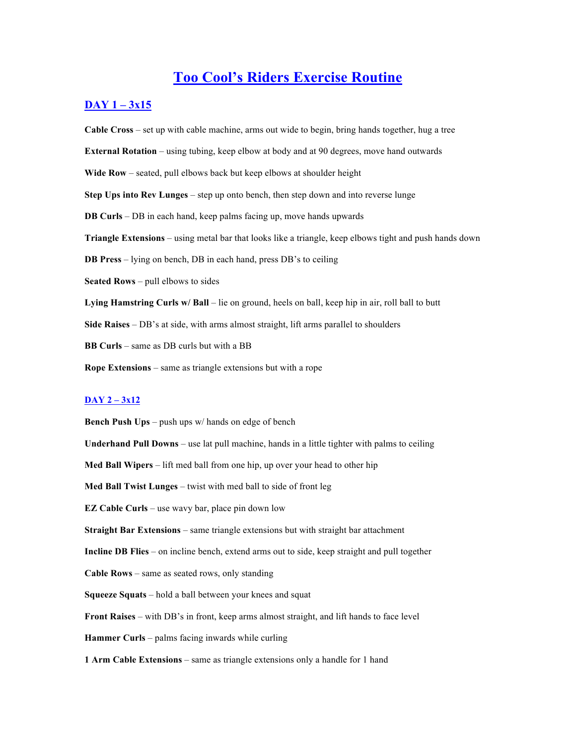# **Too Cool's Riders Exercise Routine**

## **DAY 1 – 3x15**

**Cable Cross** – set up with cable machine, arms out wide to begin, bring hands together, hug a tree **External Rotation** – using tubing, keep elbow at body and at 90 degrees, move hand outwards **Wide Row** – seated, pull elbows back but keep elbows at shoulder height **Step Ups into Rev Lunges** – step up onto bench, then step down and into reverse lunge **DB Curls** – DB in each hand, keep palms facing up, move hands upwards **Triangle Extensions** – using metal bar that looks like a triangle, keep elbows tight and push hands down **DB Press** – lying on bench, DB in each hand, press DB's to ceiling **Seated Rows** – pull elbows to sides **Lying Hamstring Curls w/ Ball** – lie on ground, heels on ball, keep hip in air, roll ball to butt **Side Raises** – DB's at side, with arms almost straight, lift arms parallel to shoulders **BB Curls** – same as DB curls but with a BB **Rope Extensions** – same as triangle extensions but with a rope **DAY 2 – 3x12 Bench Push Ups** – push ups w/ hands on edge of bench **Underhand Pull Downs** – use lat pull machine, hands in a little tighter with palms to ceiling

**Med Ball Wipers** – lift med ball from one hip, up over your head to other hip

**Med Ball Twist Lunges** – twist with med ball to side of front leg

**EZ Cable Curls** – use wavy bar, place pin down low

**Straight Bar Extensions** – same triangle extensions but with straight bar attachment

**Incline DB Flies** – on incline bench, extend arms out to side, keep straight and pull together

**Cable Rows** – same as seated rows, only standing

**Squeeze Squats** – hold a ball between your knees and squat

**Front Raises** – with DB's in front, keep arms almost straight, and lift hands to face level

**Hammer Curls** – palms facing inwards while curling

**1 Arm Cable Extensions** – same as triangle extensions only a handle for 1 hand